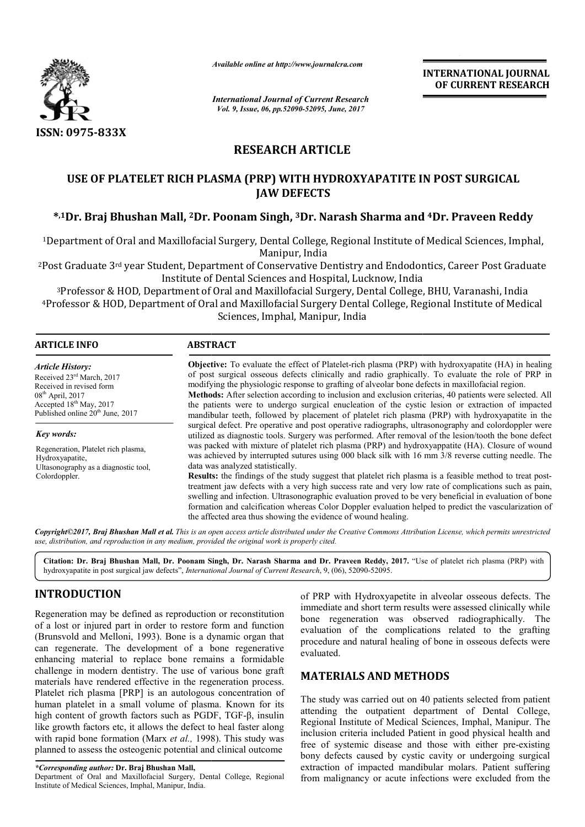

*Available online at http://www.journalcra.com*

# **RESEARCH ARTICLE**

# **USE OF PLATELET RICH PLASMA (PRP) WITH HYDROXYAPATITE IN POST SURGICAL**  USE OF PLATELET RICH PLASMA (PRP) WITH HYDROXYAPATITE IN POST SURGICAL<br>JAW DEFECTS<br><sup>\$,1</sup>Dr. Braj Bhushan Mall, <sup>2</sup>Dr. Poonam Singh, <sup>3</sup>Dr. Narash Sharma and <sup>4</sup>Dr. Praveen Reddy **JAW DEFECTS**

|                                                                                                                                                                                                                                                                                                                                                                                                            | лтииште опине иг нир.//www.journuicru.com                                                                                                                                                                                                                                                                                                                                                                                                                                                                                                                                                                                                                                                                                                                                                                                                                                                                                                                             |                              | <b>INTERNATIONAL JOURNAL</b><br>OF CURRENT RESEARCH                                                                                                                                                                                                                                                                                                                                                                                                                                                                                                                                                                             |  |  |
|------------------------------------------------------------------------------------------------------------------------------------------------------------------------------------------------------------------------------------------------------------------------------------------------------------------------------------------------------------------------------------------------------------|-----------------------------------------------------------------------------------------------------------------------------------------------------------------------------------------------------------------------------------------------------------------------------------------------------------------------------------------------------------------------------------------------------------------------------------------------------------------------------------------------------------------------------------------------------------------------------------------------------------------------------------------------------------------------------------------------------------------------------------------------------------------------------------------------------------------------------------------------------------------------------------------------------------------------------------------------------------------------|------------------------------|---------------------------------------------------------------------------------------------------------------------------------------------------------------------------------------------------------------------------------------------------------------------------------------------------------------------------------------------------------------------------------------------------------------------------------------------------------------------------------------------------------------------------------------------------------------------------------------------------------------------------------|--|--|
|                                                                                                                                                                                                                                                                                                                                                                                                            | <b>International Journal of Current Research</b><br>Vol. 9, Issue, 06, pp.52090-52095, June, 2017                                                                                                                                                                                                                                                                                                                                                                                                                                                                                                                                                                                                                                                                                                                                                                                                                                                                     |                              |                                                                                                                                                                                                                                                                                                                                                                                                                                                                                                                                                                                                                                 |  |  |
| ISSN: 0975-833X                                                                                                                                                                                                                                                                                                                                                                                            |                                                                                                                                                                                                                                                                                                                                                                                                                                                                                                                                                                                                                                                                                                                                                                                                                                                                                                                                                                       |                              |                                                                                                                                                                                                                                                                                                                                                                                                                                                                                                                                                                                                                                 |  |  |
|                                                                                                                                                                                                                                                                                                                                                                                                            | <b>RESEARCH ARTICLE</b>                                                                                                                                                                                                                                                                                                                                                                                                                                                                                                                                                                                                                                                                                                                                                                                                                                                                                                                                               |                              |                                                                                                                                                                                                                                                                                                                                                                                                                                                                                                                                                                                                                                 |  |  |
|                                                                                                                                                                                                                                                                                                                                                                                                            | USE OF PLATELET RICH PLASMA (PRP) WITH HYDROXYAPATITE IN POST SURGICAL                                                                                                                                                                                                                                                                                                                                                                                                                                                                                                                                                                                                                                                                                                                                                                                                                                                                                                | <b>JAW DEFECTS</b>           |                                                                                                                                                                                                                                                                                                                                                                                                                                                                                                                                                                                                                                 |  |  |
|                                                                                                                                                                                                                                                                                                                                                                                                            |                                                                                                                                                                                                                                                                                                                                                                                                                                                                                                                                                                                                                                                                                                                                                                                                                                                                                                                                                                       |                              | *,1Dr. Braj Bhushan Mall, <sup>2</sup> Dr. Poonam Singh, <sup>3</sup> Dr. Narash Sharma and <sup>4</sup> Dr. Praveen Reddy                                                                                                                                                                                                                                                                                                                                                                                                                                                                                                      |  |  |
|                                                                                                                                                                                                                                                                                                                                                                                                            |                                                                                                                                                                                                                                                                                                                                                                                                                                                                                                                                                                                                                                                                                                                                                                                                                                                                                                                                                                       | Manipur, India               | <sup>1</sup> Department of Oral and Maxillofacial Surgery, Dental College, Regional Institute of Medical Sciences, Imphal,                                                                                                                                                                                                                                                                                                                                                                                                                                                                                                      |  |  |
|                                                                                                                                                                                                                                                                                                                                                                                                            | Institute of Dental Sciences and Hospital, Lucknow, India<br>Sciences, Imphal, Manipur, India                                                                                                                                                                                                                                                                                                                                                                                                                                                                                                                                                                                                                                                                                                                                                                                                                                                                         |                              | <sup>2</sup> Post Graduate 3 <sup>rd</sup> year Student, Department of Conservative Dentistry and Endodontics, Career Post Graduate<br><sup>3</sup> Professor & HOD, Department of Oral and Maxillofacial Surgery, Dental College, BHU, Varanashi, India<br><sup>4</sup> Professor & HOD, Department of Oral and Maxillofacial Surgery Dental College, Regional Institute of Medical                                                                                                                                                                                                                                            |  |  |
| <b>ARTICLE INFO</b>                                                                                                                                                                                                                                                                                                                                                                                        | <b>ABSTRACT</b>                                                                                                                                                                                                                                                                                                                                                                                                                                                                                                                                                                                                                                                                                                                                                                                                                                                                                                                                                       |                              |                                                                                                                                                                                                                                                                                                                                                                                                                                                                                                                                                                                                                                 |  |  |
| <b>Article History:</b><br>Received 23rd March, 2017<br>Received in revised form<br>08 <sup>th</sup> April, 2017<br>Accepted 18 <sup>th</sup> May, 2017<br>Published online 20 <sup>th</sup> June, 2017                                                                                                                                                                                                    |                                                                                                                                                                                                                                                                                                                                                                                                                                                                                                                                                                                                                                                                                                                                                                                                                                                                                                                                                                       |                              | Objective: To evaluate the effect of Platelet-rich plasma (PRP) with hydroxyapatite (HA) in healing<br>of post surgical osseous defects clinically and radio graphically. To evaluate the role of PRP in<br>modifying the physiologic response to grafting of alveolar bone defects in maxillofacial region.<br>Methods: After selection according to inclusion and exclusion criterias, 40 patients were selected. All<br>the patients were to undergo surgical enucleation of the cystic lesion or extraction of impacted<br>mandibular teeth, followed by placement of platelet rich plasma (PRP) with hydroxyapatite in the |  |  |
| Key words:<br>Regeneration, Platelet rich plasma,<br>Hydroxyapatite,<br>Ultasonography as a diagnostic tool,<br>Colordoppler.                                                                                                                                                                                                                                                                              | surgical defect. Pre operative and post operative radiographs, ultrasonography and colordoppler were<br>utilized as diagnostic tools. Surgery was performed. After removal of the lesion/tooth the bone defect<br>was packed with mixture of platelet rich plasma (PRP) and hydroxyappatite (HA). Closure of wound<br>was achieved by interrupted sutures using 000 black silk with 16 mm 3/8 reverse cutting needle. The<br>data was analyzed statistically.<br>Results: the findings of the study suggest that platelet rich plasma is a feasible method to treat post-<br>treatment jaw defects with a very high success rate and very low rate of complications such as pain,<br>swelling and infection. Ultrasonographic evaluation proved to be very beneficial in evaluation of bone<br>formation and calcification whereas Color Doppler evaluation helped to predict the vascularization of<br>the affected area thus showing the evidence of wound healing. |                              |                                                                                                                                                                                                                                                                                                                                                                                                                                                                                                                                                                                                                                 |  |  |
| use, distribution, and reproduction in any medium, provided the original work is properly cited.                                                                                                                                                                                                                                                                                                           |                                                                                                                                                                                                                                                                                                                                                                                                                                                                                                                                                                                                                                                                                                                                                                                                                                                                                                                                                                       |                              | Copyright©2017, Braj Bhushan Mall et al. This is an open access article distributed under the Creative Commons Attribution License, which permits unrestricted                                                                                                                                                                                                                                                                                                                                                                                                                                                                  |  |  |
| hydroxyapatite in post surgical jaw defects", International Journal of Current Research, 9, (06), 52090-52095.                                                                                                                                                                                                                                                                                             |                                                                                                                                                                                                                                                                                                                                                                                                                                                                                                                                                                                                                                                                                                                                                                                                                                                                                                                                                                       |                              | Citation: Dr. Braj Bhushan Mall, Dr. Poonam Singh, Dr. Narash Sharma and Dr. Praveen Reddy, 2017. "Use of platelet rich plasma (PRP) with                                                                                                                                                                                                                                                                                                                                                                                                                                                                                       |  |  |
| <b>INTRODUCTION</b>                                                                                                                                                                                                                                                                                                                                                                                        |                                                                                                                                                                                                                                                                                                                                                                                                                                                                                                                                                                                                                                                                                                                                                                                                                                                                                                                                                                       |                              | of PRP with Hydroxyapetite in alveolar osseous defects. The                                                                                                                                                                                                                                                                                                                                                                                                                                                                                                                                                                     |  |  |
| Regeneration may be defined as reproduction or reconstitution<br>of a lost or injured part in order to restore form and function<br>(Brunsvold and Melloni, 1993). Bone is a dynamic organ that<br>can regenerate. The development of a bone regenerative<br>enhancing material to replace bone remains a formidable                                                                                       |                                                                                                                                                                                                                                                                                                                                                                                                                                                                                                                                                                                                                                                                                                                                                                                                                                                                                                                                                                       | evaluated.                   | immediate and short term results were assessed clinically while<br>bone regeneration was observed radiographically. The<br>evaluation of the complications related to the grafting<br>procedure and natural healing of bone in osseous defects were                                                                                                                                                                                                                                                                                                                                                                             |  |  |
| challenge in modern dentistry. The use of various bone graft<br>materials have rendered effective in the regeneration process.                                                                                                                                                                                                                                                                             |                                                                                                                                                                                                                                                                                                                                                                                                                                                                                                                                                                                                                                                                                                                                                                                                                                                                                                                                                                       | <b>MATERIALS AND METHODS</b> |                                                                                                                                                                                                                                                                                                                                                                                                                                                                                                                                                                                                                                 |  |  |
| Platelet rich plasma [PRP] is an autologous concentration of<br>human platelet in a small volume of plasma. Known for its<br>high content of growth factors such as PGDF, TGF- $\beta$ , insulin<br>like growth factors etc, it allows the defect to heal faster along<br>with rapid bone formation (Marx et al., 1998). This study was<br>planned to assess the osteogenic potential and clinical outcome |                                                                                                                                                                                                                                                                                                                                                                                                                                                                                                                                                                                                                                                                                                                                                                                                                                                                                                                                                                       |                              | The study was carried out on 40 patients selected from patient<br>attending the outpatient department of Dental College,<br>Regional Institute of Medical Sciences, Imphal, Manipur. The<br>inclusion criteria included Patient in good physical health and<br>free of systemic disease and those with either pre-existing<br>bony defects caused by cystic cavity or undergoing surgical                                                                                                                                                                                                                                       |  |  |
| *Corresponding author: Dr. Braj Bhushan Mall,<br>Department of Oral and Maxillofacial Surgery, Dental College, Regional                                                                                                                                                                                                                                                                                    |                                                                                                                                                                                                                                                                                                                                                                                                                                                                                                                                                                                                                                                                                                                                                                                                                                                                                                                                                                       |                              | extraction of impacted mandibular molars. Patient suffering<br>from malignancy or acute infections were excluded from the                                                                                                                                                                                                                                                                                                                                                                                                                                                                                                       |  |  |

# **INTRODUCTION**

Department of Oral and Maxillofacial Surgery, Dental College, Regional Institute of Medical Sciences, Imphal, Manipur, India.

## **MATERIALS AND METHOD METHODS**

*<sup>\*</sup>Corresponding author:* **Dr. Braj Bhushan Mall,**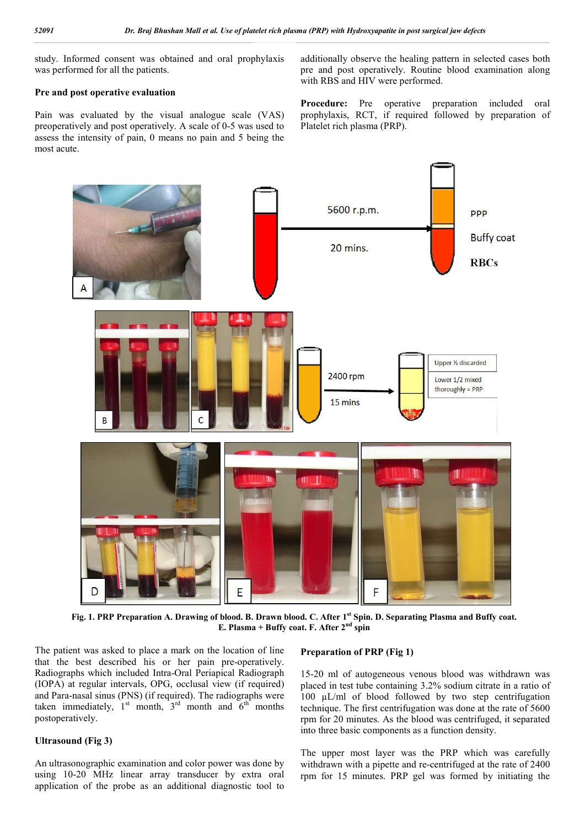study. Informed consent was obtained and oral prophylaxis was performed for all the patients.

#### **Pre and post operative evaluation**

Pain was evaluated by the visual analogue scale (VAS) preoperatively and post operatively. A scale of 0-5 was used to assess the intensity of pain, 0 means no pain and 5 being the most acute.

additionally observe the healing pattern in selected cases both pre and post operatively. Routine blood examination along with RBS and HIV were performed.

**Procedure:** Pre operative preparation included oral prophylaxis, RCT, if required followed by preparation of Platelet rich plasma (PRP).



**Fig. 1. PRP Preparation A. Drawing of blood. B. Drawn blood. C. After 1st Spin. D. Separating Plasma and Buffy coat. E. Plasma + Buffy coat. F. After 2nd spin**

The patient was asked to place a mark on the location of line that the best described his or her pain pre-operatively. Radiographs which included Intra-Oral Periapical Radiograph (IOPA) at regular intervals, OPG, occlusal view (if required) and Para-nasal sinus (PNS) (if required). The radiographs were taken immediately,  $1^{st}$  month,  $3^{rd}$  month and  $6^{th}$  months postoperatively.

#### **Ultrasound (Fig 3)**

An ultrasonographic examination and color power was done by using 10-20 MHz linear array transducer by extra oral application of the probe as an additional diagnostic tool to

#### **Preparation of PRP (Fig 1)**

15-20 ml of autogeneous venous blood was withdrawn was placed in test tube containing 3.2% sodium citrate in a ratio of 100 µL/ml of blood followed by two step centrifugation technique. The first centrifugation was done at the rate of 5600 rpm for 20 minutes. As the blood was centrifuged, it separated into three basic components as a function density.

The upper most layer was the PRP which was carefully withdrawn with a pipette and re-centrifuged at the rate of 2400 rpm for 15 minutes. PRP gel was formed by initiating the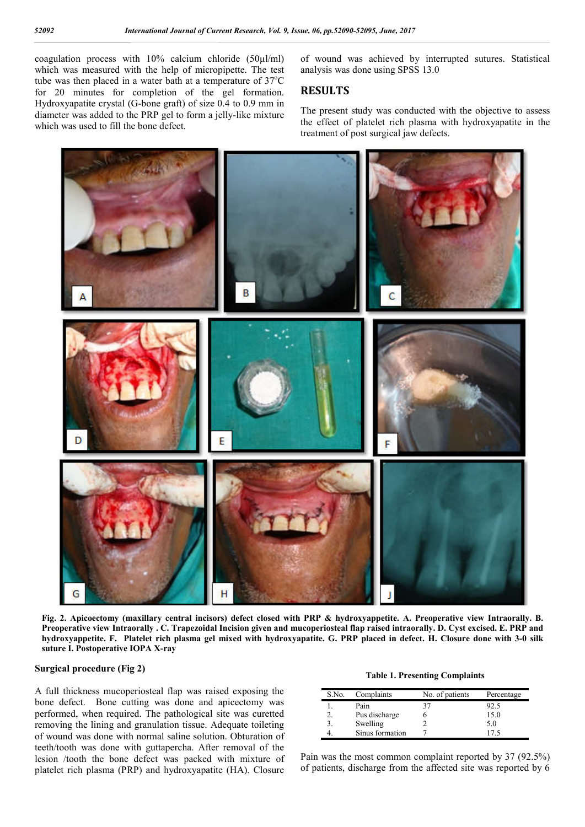coagulation process with 10% calcium chloride (50µl/ml) which was measured with the help of micropipette. The test tube was then placed in a water bath at a temperature of  $37^{\circ}$ C for 20 minutes for completion of the gel formation. Hydroxyapatite crystal (G-bone graft) of size 0.4 to 0.9 mm in diameter was added to the PRP gel to form a jelly-like mixture which was used to fill the bone defect.

of wound was achieved by interrupted sutures. Statistical analysis was done using SPSS 13.0

### **RESULTS**

The present study was conducted with the objective to assess the effect of platelet rich plasma with hydroxyapatite in the treatment of post surgical jaw defects.



**Fig. 2. Apicoectomy (maxillary central incisors) defect closed with PRP & hydroxyappetite. A. Preoperative view Intraorally. B. Preoperative view Intraorally . C. Trapezoidal Incision given and mucoperiosteal flap raised intraorally. D. Cyst excised. E. PRP and hydroxyappetite. F. Platelet rich plasma gel mixed with hydroxyapatite. G. PRP placed in defect. H. Closure done with 3-0 silk suture I. Postoperative IOPA X-ray**

#### **Surgical procedure (Fig 2)**

A full thickness mucoperiosteal flap was raised exposing the bone defect. Bone cutting was done and apicectomy was performed, when required. The pathological site was curetted removing the lining and granulation tissue. Adequate toileting of wound was done with normal saline solution. Obturation of teeth/tooth was done with guttapercha. After removal of the lesion /tooth the bone defect was packed with mixture of platelet rich plasma (PRP) and hydroxyapatite (HA). Closure

#### **Table 1. Presenting Complaints**

| S.No. | Complaints      | No. of patients | Percentage |
|-------|-----------------|-----------------|------------|
|       | Pain            | 37              | 92.5       |
|       | Pus discharge   |                 | 15.0       |
|       | Swelling        |                 | 5.0        |
|       | Sinus formation |                 | 175        |

Pain was the most common complaint reported by 37 (92.5%) of patients, discharge from the affected site was reported by 6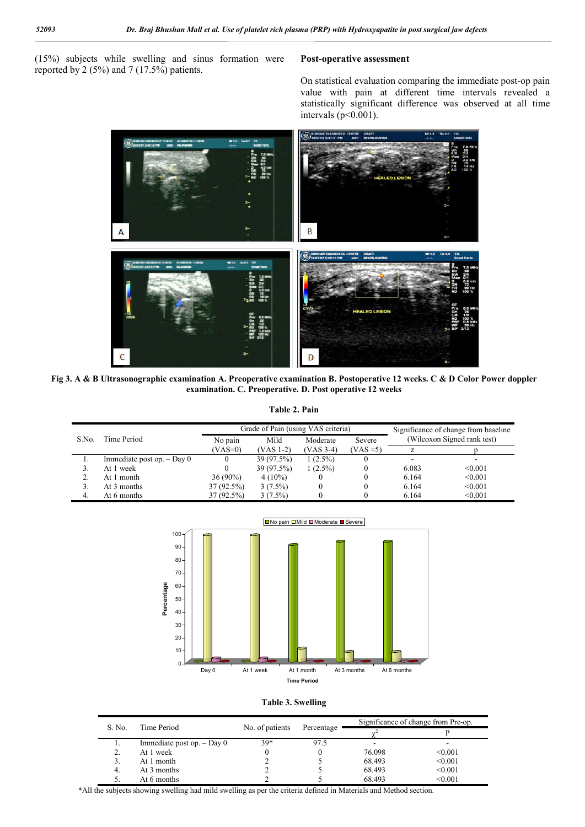(15%) subjects while swelling and sinus formation were reported by 2 (5%) and 7 (17.5%) patients.

#### **Post-operative assessment**

On statistical evaluation comparing the immediate post-op pain value with pain at different time intervals revealed a statistically significant difference was observed at all time intervals ( $p<0.001$ ).



**Fig 3. A & B Ultrasonographic examination A. Preoperative examination B. Postoperative 12 weeks. C & D Color Power doppler examination. C. Preoperative. D. Post operative 12 weeks**

**Table 2. Pain**

|       |                              | Grade of Pain (using VAS criteria) |            |            |             | Significance of change from baseline |                             |
|-------|------------------------------|------------------------------------|------------|------------|-------------|--------------------------------------|-----------------------------|
| S.No. | Time Period                  | No pain                            | Mild       | Moderate   | Severe      |                                      | (Wilcoxon Signed rank test) |
|       |                              | $(VAS=0)$                          | (VAS 1-2)  | (VAS 3-4)  | $(VAS = 5)$ |                                      |                             |
|       | Immediate post op. $-$ Day 0 |                                    | 39 (97.5%) | $1(2.5\%)$ |             |                                      |                             |
|       | At 1 week                    |                                    | 39 (97.5%) | $1(2.5\%)$ |             | 6.083                                | < 0.001                     |
|       | At 1 month                   | $36(90\%)$                         | $4(10\%)$  |            |             | 6.164                                | < 0.001                     |
|       | At 3 months                  | $37(92.5\%)$                       | $3(7.5\%)$ |            |             | 6.164                                | < 0.001                     |
|       | At 6 months                  | 37 (92.5%)                         | $3(7.5\%)$ |            |             | 6.164                                | < 0.001                     |



![](_page_3_Figure_9.jpeg)

| S. No.<br>Time Period |                              |                 |            | Significance of change from Pre-op. |         |
|-----------------------|------------------------------|-----------------|------------|-------------------------------------|---------|
|                       |                              | No. of patients | Percentage |                                     |         |
| . .                   | Immediate post op. $-$ Day 0 | $39*$           | 97.5       | -                                   |         |
| 2.                    | At 1 week                    |                 |            | 76.098                              | < 0.001 |
| 3.                    | At 1 month                   |                 |            | 68.493                              | < 0.001 |
| 4.                    | At 3 months                  |                 |            | 68.493                              | < 0.001 |
| 5.                    | At 6 months                  |                 |            | 68.493                              | < 0.001 |

\*All the subjects showing swelling had mild swelling as per the criteria defined in Materials and Method section.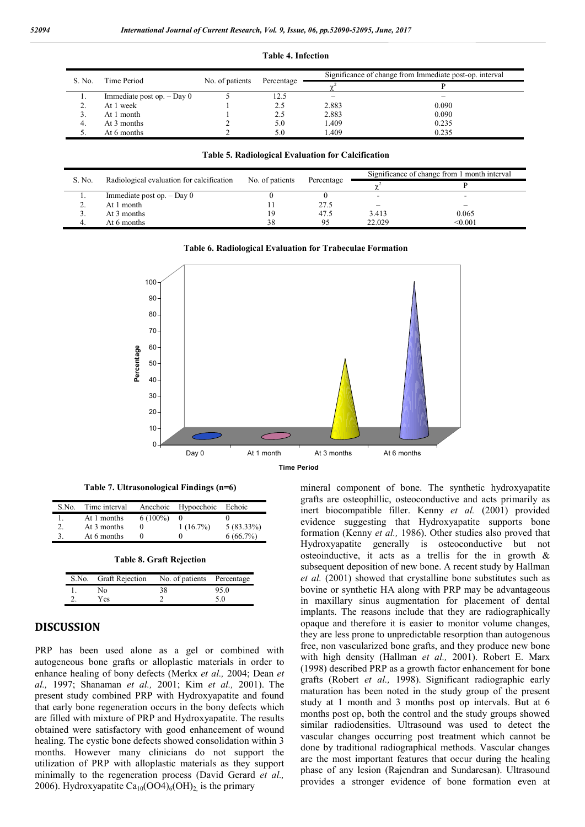|        |                              |                 |            | Significance of change from Immediate post-op. interval |       |  |
|--------|------------------------------|-----------------|------------|---------------------------------------------------------|-------|--|
| S. No. | Time Period                  | No. of patients | Percentage |                                                         |       |  |
|        | Immediate post op. $-$ Day 0 |                 | 12.5       | -                                                       | -     |  |
|        | At 1 week                    |                 | 2.5        | 2.883                                                   | 0.090 |  |
|        | At 1 month                   |                 | 2.5        | 2.883                                                   | 0.090 |  |
| 4.     | At 3 months                  |                 | 5.0        | .409                                                    | 0.235 |  |
| J.     | At 6 months                  |                 | 5.0        | .409                                                    | 0.235 |  |

#### **Table 4. Infection**

**Table 5. Radiological Evaluation for Calcification**

| S. No. | Radiological evaluation for calcification | No. of patients | Percentage | Significance of change from 1 month interval |         |
|--------|-------------------------------------------|-----------------|------------|----------------------------------------------|---------|
|        |                                           |                 |            |                                              |         |
|        | Immediate post op. $-$ Day 0              |                 |            | $\overline{\phantom{0}}$                     |         |
|        | At 1 month                                |                 | 27.5       |                                              |         |
|        | At 3 months                               | ١g              | 47.5       | 3.413                                        | 0.065   |
| 4.     | At 6 months                               | 38              | 95         | 22.029                                       | < 0.001 |
|        |                                           |                 |            |                                              |         |

![](_page_4_Figure_5.jpeg)

![](_page_4_Figure_6.jpeg)

**Time Period**

**Table 7. Ultrasonological Findings (n=6)**

| S.No.        | Time interval |            | Anechoic Hypoechoic Echoic |              |
|--------------|---------------|------------|----------------------------|--------------|
| $\mathbf{L}$ | At 1 months   | $6(100\%)$ |                            |              |
| 2.           | At 3 months   |            | $1(16.7\%)$                | $5(83.33\%)$ |
| 3.           | At 6 months   |            |                            | $6(66.7\%)$  |
|              |               |            |                            |              |

| Table 8. Graft Rejection |  |  |
|--------------------------|--|--|
|                          |  |  |

| S.No. Graft Rejection | No. of patients Percentage |      |
|-----------------------|----------------------------|------|
| N <sub>0</sub>        | 38                         | 95.0 |
| <b>Yes</b>            |                            | -50  |

# **DISCUSSION**

PRP has been used alone as a gel or combined with autogeneous bone grafts or alloplastic materials in order to enhance healing of bony defects (Merkx *et al.,* 2004; Dean *et al.,* 1997; Shanaman *et al.,* 2001; Kim *et al.,* 2001). The present study combined PRP with Hydroxyapatite and found that early bone regeneration occurs in the bony defects which are filled with mixture of PRP and Hydroxyapatite. The results obtained were satisfactory with good enhancement of wound healing. The cystic bone defects showed consolidation within 3 months. However many clinicians do not support the utilization of PRP with alloplastic materials as they support minimally to the regeneration process (David Gerard *et al.,*  2006). Hydroxyapatite Ca<sub>10</sub>(OO4)<sub>6</sub>(OH)<sub>2</sub> is the primary

mineral component of bone. The synthetic hydroxyapatite grafts are osteophillic, osteoconductive and acts primarily as inert biocompatible filler. Kenny *et al.* (2001) provided evidence suggesting that Hydroxyapatite supports bone formation (Kenny *et al.,* 1986). Other studies also proved that Hydroxyapatite generally is osteoconductive but not osteoinductive, it acts as a trellis for the in growth & subsequent deposition of new bone. A recent study by Hallman *et al.* (2001) showed that crystalline bone substitutes such as bovine or synthetic HA along with PRP may be advantageous in maxillary sinus augmentation for placement of dental implants. The reasons include that they are radiographically opaque and therefore it is easier to monitor volume changes, they are less prone to unpredictable resorption than autogenous free, non vascularized bone grafts, and they produce new bone with high density (Hallman *et al.,* 2001). Robert E. Marx (1998) described PRP as a growth factor enhancement for bone grafts (Robert *et al.,* 1998). Significant radiographic early maturation has been noted in the study group of the present study at 1 month and 3 months post op intervals. But at 6 months post op, both the control and the study groups showed similar radiodensities. Ultrasound was used to detect the vascular changes occurring post treatment which cannot be done by traditional radiographical methods. Vascular changes are the most important features that occur during the healing phase of any lesion (Rajendran and Sundaresan). Ultrasound provides a stronger evidence of bone formation even at